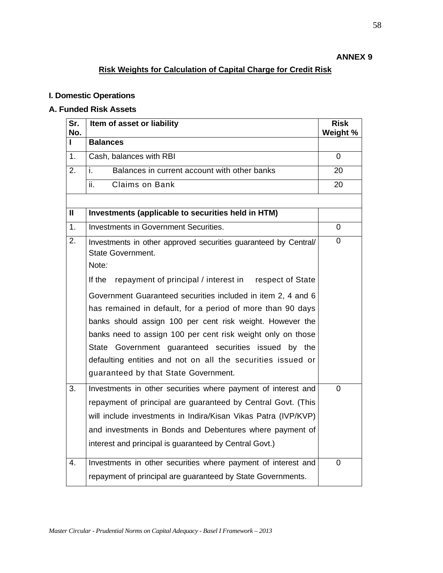### **ANNEX 9**

# **Risk Weights for Calculation of Capital Charge for Credit Risk**

### **I. Domestic Operations**

### **A. Funded Risk Assets**

| Sr.<br>No.       | Item of asset or liability                                                                                                                                                                                                                                                                                                                                                                                            | <b>Risk</b><br>Weight % |
|------------------|-----------------------------------------------------------------------------------------------------------------------------------------------------------------------------------------------------------------------------------------------------------------------------------------------------------------------------------------------------------------------------------------------------------------------|-------------------------|
| п                | <b>Balances</b>                                                                                                                                                                                                                                                                                                                                                                                                       |                         |
| $\overline{1}$ . | Cash, balances with RBI                                                                                                                                                                                                                                                                                                                                                                                               | $\Omega$                |
| 2.               | Balances in current account with other banks<br>i.                                                                                                                                                                                                                                                                                                                                                                    | 20                      |
|                  | ii.<br><b>Claims on Bank</b>                                                                                                                                                                                                                                                                                                                                                                                          | 20                      |
|                  |                                                                                                                                                                                                                                                                                                                                                                                                                       |                         |
| $\mathbf{I}$     | Investments (applicable to securities held in HTM)                                                                                                                                                                                                                                                                                                                                                                    |                         |
| 1.               | Investments in Government Securities.                                                                                                                                                                                                                                                                                                                                                                                 | $\mathbf 0$             |
| 2.               | Investments in other approved securities guaranteed by Central/<br><b>State Government.</b><br>Note:                                                                                                                                                                                                                                                                                                                  | 0                       |
|                  | If the<br>repayment of principal / interest in<br>respect of State                                                                                                                                                                                                                                                                                                                                                    |                         |
|                  | Government Guaranteed securities included in item 2, 4 and 6<br>has remained in default, for a period of more than 90 days<br>banks should assign 100 per cent risk weight. However the<br>banks need to assign 100 per cent risk weight only on those<br>State Government guaranteed securities issued by the<br>defaulting entities and not on all the securities issued or<br>guaranteed by that State Government. |                         |
| $\overline{3}$ . | Investments in other securities where payment of interest and<br>repayment of principal are guaranteed by Central Govt. (This<br>will include investments in Indira/Kisan Vikas Patra (IVP/KVP)<br>and investments in Bonds and Debentures where payment of<br>interest and principal is guaranteed by Central Govt.)                                                                                                 | 0                       |
| 4.               | Investments in other securities where payment of interest and<br>repayment of principal are guaranteed by State Governments.                                                                                                                                                                                                                                                                                          | $\Omega$                |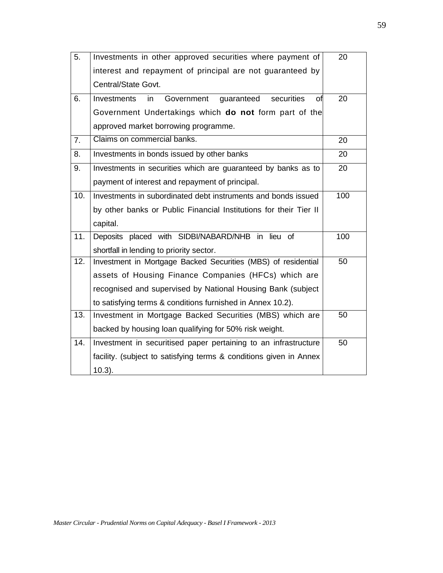| $\overline{5}$ . | Investments in other approved securities where payment of          | 20  |
|------------------|--------------------------------------------------------------------|-----|
|                  | interest and repayment of principal are not guaranteed by          |     |
|                  | Central/State Govt.                                                |     |
| 6.               | of<br>Government<br>guaranteed<br>securities<br>Investments<br>in  | 20  |
|                  | Government Undertakings which do not form part of the              |     |
|                  | approved market borrowing programme.                               |     |
| 7.               | Claims on commercial banks.                                        | 20  |
| 8.               | Investments in bonds issued by other banks                         | 20  |
| 9.               | Investments in securities which are guaranteed by banks as to      | 20  |
|                  | payment of interest and repayment of principal.                    |     |
| 10.              | Investments in subordinated debt instruments and bonds issued      | 100 |
|                  | by other banks or Public Financial Institutions for their Tier II  |     |
|                  | capital.                                                           |     |
| 11.              | Deposits placed with SIDBI/NABARD/NHB in lieu of                   | 100 |
|                  | shortfall in lending to priority sector.                           |     |
| 12.              | Investment in Mortgage Backed Securities (MBS) of residential      | 50  |
|                  | assets of Housing Finance Companies (HFCs) which are               |     |
|                  | recognised and supervised by National Housing Bank (subject        |     |
|                  | to satisfying terms & conditions furnished in Annex 10.2).         |     |
| 13.              | Investment in Mortgage Backed Securities (MBS) which are           | 50  |
|                  | backed by housing loan qualifying for 50% risk weight.             |     |
| 14.              | Investment in securitised paper pertaining to an infrastructure    | 50  |
|                  | facility. (subject to satisfying terms & conditions given in Annex |     |
|                  | $10.3$ ).                                                          |     |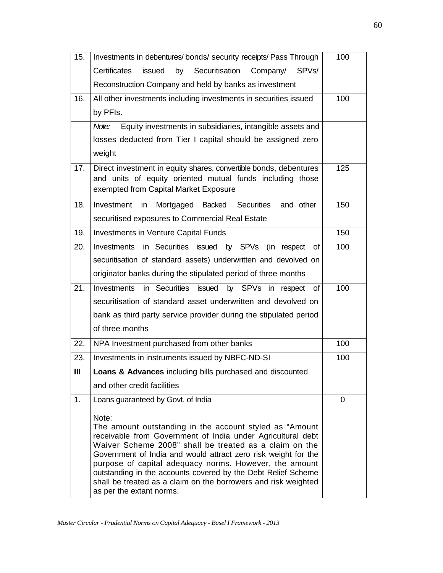| 15. | Investments in debentures/ bonds/ security receipts/ Pass Through                                                                                                       | 100 |
|-----|-------------------------------------------------------------------------------------------------------------------------------------------------------------------------|-----|
|     | Certificates<br>Securitisation<br>SPV <sub>s</sub> /<br>issued<br>by<br>Company/                                                                                        |     |
|     | Reconstruction Company and held by banks as investment                                                                                                                  |     |
| 16. | All other investments including investments in securities issued                                                                                                        | 100 |
|     | by PFIs.                                                                                                                                                                |     |
|     | Equity investments in subsidiaries, intangible assets and<br>Note:                                                                                                      |     |
|     | losses deducted from Tier I capital should be assigned zero                                                                                                             |     |
|     | weight                                                                                                                                                                  |     |
| 17. | Direct investment in equity shares, convertible bonds, debentures<br>and units of equity oriented mutual funds including those<br>exempted from Capital Market Exposure | 125 |
|     | <b>Securities</b><br>and other                                                                                                                                          | 150 |
| 18. | Mortgaged Backed<br>Investment in<br>securitised exposures to Commercial Real Estate                                                                                    |     |
| 19. | <b>Investments in Venture Capital Funds</b>                                                                                                                             | 150 |
| 20. | in Securities issued by SPVs (in respect<br>Investments<br>οf                                                                                                           | 100 |
|     | securitisation of standard assets) underwritten and devolved on                                                                                                         |     |
|     | originator banks during the stipulated period of three months                                                                                                           |     |
| 21. | in Securities issued<br>by SPVs in respect<br>Investments<br>οf                                                                                                         | 100 |
|     | securitisation of standard asset underwritten and devolved on                                                                                                           |     |
|     | bank as third party service provider during the stipulated period                                                                                                       |     |
|     | of three months                                                                                                                                                         |     |
| 22. | NPA Investment purchased from other banks                                                                                                                               | 100 |
| 23. | Investments in instruments issued by NBFC-ND-SI                                                                                                                         | 100 |
| III | Loans & Advances including bills purchased and discounted                                                                                                               |     |
|     | and other credit facilities                                                                                                                                             |     |
| 1.  | Loans guaranteed by Govt. of India                                                                                                                                      | 0   |
|     | Note:                                                                                                                                                                   |     |
|     | The amount outstanding in the account styled as "Amount<br>receivable from Government of India under Agricultural debt                                                  |     |
|     | Waiver Scheme 2008" shall be treated as a claim on the                                                                                                                  |     |
|     | Government of India and would attract zero risk weight for the<br>purpose of capital adequacy norms. However, the amount                                                |     |
|     | outstanding in the accounts covered by the Debt Relief Scheme                                                                                                           |     |
|     | shall be treated as a claim on the borrowers and risk weighted<br>as per the extant norms.                                                                              |     |
|     |                                                                                                                                                                         |     |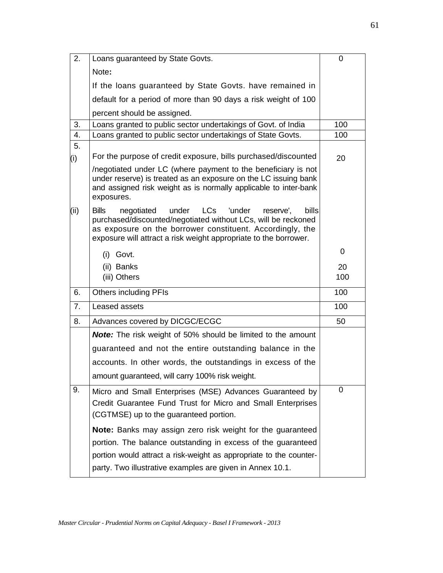| 2.   | Loans guaranteed by State Govts.                                                                                                                                                                                                                                                    | 0   |
|------|-------------------------------------------------------------------------------------------------------------------------------------------------------------------------------------------------------------------------------------------------------------------------------------|-----|
|      | Note:                                                                                                                                                                                                                                                                               |     |
|      | If the loans guaranteed by State Govts. have remained in                                                                                                                                                                                                                            |     |
|      | default for a period of more than 90 days a risk weight of 100                                                                                                                                                                                                                      |     |
|      | percent should be assigned.                                                                                                                                                                                                                                                         |     |
| 3.   | Loans granted to public sector undertakings of Govt. of India                                                                                                                                                                                                                       | 100 |
| 4.   | Loans granted to public sector undertakings of State Govts.                                                                                                                                                                                                                         | 100 |
| 5.   |                                                                                                                                                                                                                                                                                     |     |
| (i)  | For the purpose of credit exposure, bills purchased/discounted                                                                                                                                                                                                                      | 20  |
|      | negotiated under LC (where payment to the beneficiary is not<br>under reserve) is treated as an exposure on the LC issuing bank<br>and assigned risk weight as is normally applicable to inter-bank<br>exposures.                                                                   |     |
| (ii) | <b>Bills</b><br><b>LCs</b><br>'under<br>under<br>bills<br>negotiated<br>reserve',<br>purchased/discounted/negotiated without LCs, will be reckoned<br>as exposure on the borrower constituent. Accordingly, the<br>exposure will attract a risk weight appropriate to the borrower. |     |
|      | (i) Govt.                                                                                                                                                                                                                                                                           | 0   |
|      | (ii) Banks                                                                                                                                                                                                                                                                          | 20  |
|      | (iii) Others                                                                                                                                                                                                                                                                        | 100 |
| 6.   | <b>Others including PFIs</b>                                                                                                                                                                                                                                                        | 100 |
| 7.   | Leased assets                                                                                                                                                                                                                                                                       | 100 |
| 8.   | Advances covered by DICGC/ECGC                                                                                                                                                                                                                                                      | 50  |
|      | <b>Note:</b> The risk weight of 50% should be limited to the amount                                                                                                                                                                                                                 |     |
|      | guaranteed and not the entire outstanding balance in the                                                                                                                                                                                                                            |     |
|      | accounts. In other words, the outstandings in excess of the                                                                                                                                                                                                                         |     |
|      | amount guaranteed, will carry 100% risk weight.                                                                                                                                                                                                                                     |     |
| 9.   | Micro and Small Enterprises (MSE) Advances Guaranteed by<br>Credit Guarantee Fund Trust for Micro and Small Enterprises<br>(CGTMSE) up to the guaranteed portion.                                                                                                                   | 0   |
|      | <b>Note:</b> Banks may assign zero risk weight for the guaranteed<br>portion. The balance outstanding in excess of the guaranteed<br>portion would attract a risk-weight as appropriate to the counter-<br>party. Two illustrative examples are given in Annex 10.1.                |     |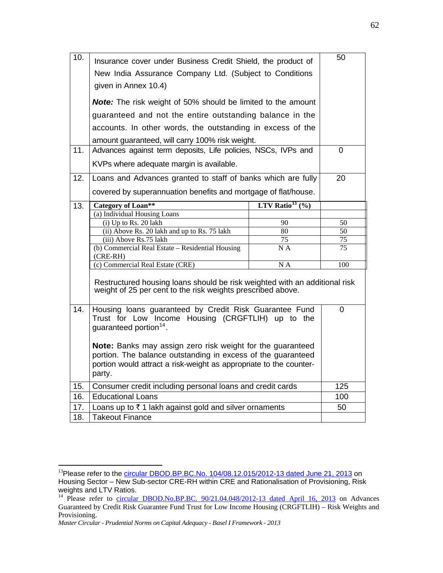| 10. | Insurance cover under Business Credit Shield, the product of<br>New India Assurance Company Ltd. (Subject to Conditions<br>given in Annex 10.4)                                                            |                               | 50  |  |
|-----|------------------------------------------------------------------------------------------------------------------------------------------------------------------------------------------------------------|-------------------------------|-----|--|
|     | Note: The risk weight of 50% should be limited to the amount                                                                                                                                               |                               |     |  |
|     | guaranteed and not the entire outstanding balance in the                                                                                                                                                   |                               |     |  |
|     |                                                                                                                                                                                                            |                               |     |  |
|     | accounts. In other words, the outstanding in excess of the<br>amount guaranteed, will carry 100% risk weight.                                                                                              |                               |     |  |
| 11. | Advances against term deposits, Life policies, NSCs, IVPs and                                                                                                                                              |                               | 0   |  |
|     | KVPs where adequate margin is available.                                                                                                                                                                   |                               |     |  |
|     |                                                                                                                                                                                                            |                               |     |  |
| 12. | Loans and Advances granted to staff of banks which are fully                                                                                                                                               |                               | 20  |  |
|     | covered by superannuation benefits and mortgage of flat/house.                                                                                                                                             |                               |     |  |
| 13. | <b>Category of Loan**</b>                                                                                                                                                                                  | LTV Ratio <sup>13</sup> $(\%$ |     |  |
|     | (a) Individual Housing Loans                                                                                                                                                                               |                               |     |  |
|     | (i) Up to Rs. 20 lakh                                                                                                                                                                                      | 90                            | 50  |  |
|     | (ii) Above Rs. 20 lakh and up to Rs. 75 lakh                                                                                                                                                               | 80                            | 50  |  |
|     | (iii) Above Rs.75 lakh                                                                                                                                                                                     | 75                            | 75  |  |
|     | (b) Commercial Real Estate - Residential Housing<br>$(CRE-RH)$                                                                                                                                             | N A                           | 75  |  |
|     | (c) Commercial Real Estate (CRE)                                                                                                                                                                           | NA                            | 100 |  |
|     | Restructured housing loans should be risk weighted with an additional risk<br>weight of 25 per cent to the risk weights prescribed above.                                                                  |                               |     |  |
| 14. | Housing loans guaranteed by Credit Risk Guarantee Fund<br>Trust for Low Income Housing (CRGFTLIH) up to the<br>guaranteed portion <sup>14</sup> .                                                          |                               |     |  |
|     | Note: Banks may assign zero risk weight for the guaranteed<br>portion. The balance outstanding in excess of the guaranteed<br>portion would attract a risk-weight as appropriate to the counter-<br>party. |                               |     |  |
| 15. | Consumer credit including personal loans and credit cards                                                                                                                                                  |                               | 125 |  |
| 16. | <b>Educational Loans</b>                                                                                                                                                                                   |                               | 100 |  |
| 17. | Loans up to $\bar{\tau}$ 1 lakh against gold and silver ornaments                                                                                                                                          |                               | 50  |  |
| 18. | <b>Takeout Finance</b>                                                                                                                                                                                     |                               |     |  |

1

<span id="page-4-0"></span><sup>&</sup>lt;sup>13</sup>Please refer to the *circular DBOD.BP.BC.No.* 104/08.12.015/2012-13 dated June 21, 2013 on Housing Sector – New Sub-sector CRE-RH within CRE and Rationalisation of Provisioning, Risk weights and LTV Ratios.

<span id="page-4-1"></span><sup>&</sup>lt;sup>14</sup> Please refer to [circular DBOD.No.BP.BC. 90/21.04.048/2012-13 dated April 16, 2013](http://rbi.org.in/scripts/NotificationUser.aspx?Id=7943&Mode=0) on Advances Guaranteed by Credit Risk Guarantee Fund Trust for Low Income Housing (CRGFTLIH) – Risk Weights and Provisioning.

*Master Circular - Prudential Norms on Capital Adequacy - Basel I Framework - 2013*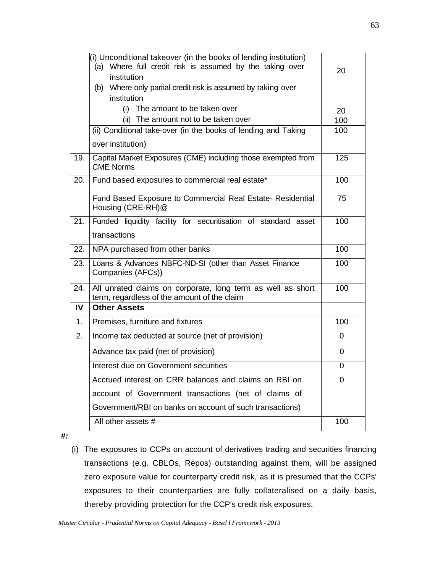|     | $(i)$ Unconditional takeover (in the books of lending institution)<br>(a) Where full credit risk is assumed by the taking over<br>institution<br>(b) Where only partial credit risk is assumed by taking over<br>institution | 20  |
|-----|------------------------------------------------------------------------------------------------------------------------------------------------------------------------------------------------------------------------------|-----|
|     | (i) The amount to be taken over                                                                                                                                                                                              | 20  |
|     | (ii) The amount not to be taken over                                                                                                                                                                                         | 100 |
|     | (ii) Conditional take-over (in the books of lending and Taking                                                                                                                                                               | 100 |
|     | over institution)                                                                                                                                                                                                            |     |
| 19. | Capital Market Exposures (CME) including those exempted from<br><b>CME Norms</b>                                                                                                                                             | 125 |
| 20. | Fund based exposures to commercial real estate*                                                                                                                                                                              | 100 |
|     | Fund Based Exposure to Commercial Real Estate- Residential<br>Housing (CRE-RH)@                                                                                                                                              | 75  |
| 21. | Funded liquidity facility for securitisation of standard asset                                                                                                                                                               | 100 |
|     | transactions                                                                                                                                                                                                                 |     |
| 22. | NPA purchased from other banks                                                                                                                                                                                               | 100 |
| 23. | Loans & Advances NBFC-ND-SI (other than Asset Finance<br>Companies (AFCs))                                                                                                                                                   | 100 |
| 24. | All unrated claims on corporate, long term as well as short<br>term, regardless of the amount of the claim                                                                                                                   | 100 |
| IV  | <b>Other Assets</b>                                                                                                                                                                                                          |     |
| 1.  | Premises, furniture and fixtures                                                                                                                                                                                             | 100 |
| 2.  | Income tax deducted at source (net of provision)                                                                                                                                                                             | 0   |
|     | Advance tax paid (net of provision)                                                                                                                                                                                          | 0   |
|     | Interest due on Government securities                                                                                                                                                                                        | 0   |
|     | Accrued interest on CRR balances and claims on RBI on                                                                                                                                                                        | 0   |
|     | account of Government transactions (net of claims of                                                                                                                                                                         |     |
|     | Government/RBI on banks on account of such transactions)                                                                                                                                                                     |     |
|     | All other assets #                                                                                                                                                                                                           | 100 |

*#:* 

(i) The exposures to CCPs on account of derivatives trading and securities financing transactions (e.g. CBLOs, Repos) outstanding against them, will be assigned zero exposure value for counterparty credit risk, as it is presumed that the CCPs' exposures to their counterparties are fully collateralised on a daily basis, thereby providing protection for the CCP's credit risk exposures;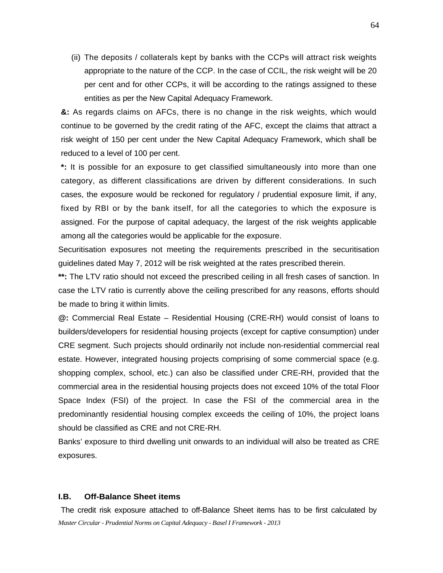(ii) The deposits / collaterals kept by banks with the CCPs will attract risk weights appropriate to the nature of the CCP. In the case of CCIL, the risk weight will be 20 per cent and for other CCPs, it will be according to the ratings assigned to these entities as per the New Capital Adequacy Framework.

**&:** As regards claims on AFCs, there is no change in the risk weights, which would continue to be governed by the credit rating of the AFC, except the claims that attract a risk weight of 150 per cent under the New Capital Adequacy Framework, which shall be reduced to a level of 100 per cent.

**\*:** It is possible for an exposure to get classified simultaneously into more than one category, as different classifications are driven by different considerations. In such cases, the exposure would be reckoned for regulatory / prudential exposure limit, if any, fixed by RBI or by the bank itself, for all the categories to which the exposure is assigned. For the purpose of capital adequacy, the largest of the risk weights applicable among all the categories would be applicable for the exposure.

Securitisation exposures not meeting the requirements prescribed in the securitisation guidelines dated May 7, 2012 will be risk weighted at the rates prescribed therein.

**\*\*:** The LTV ratio should not exceed the prescribed ceiling in all fresh cases of sanction. In case the LTV ratio is currently above the ceiling prescribed for any reasons, efforts should be made to bring it within limits.

**@:** Commercial Real Estate – Residential Housing (CRE-RH) would consist of loans to builders/developers for residential housing projects (except for captive consumption) under CRE segment. Such projects should ordinarily not include non-residential commercial real estate. However, integrated housing projects comprising of some commercial space (e.g. shopping complex, school, etc.) can also be classified under CRE-RH, provided that the commercial area in the residential housing projects does not exceed 10% of the total Floor Space Index (FSI) of the project. In case the FSI of the commercial area in the predominantly residential housing complex exceeds the ceiling of 10%, the project loans should be classified as CRE and not CRE-RH.

Banks' exposure to third dwelling unit onwards to an individual will also be treated as CRE exposures.

#### **I.B. Off-Balance Sheet items**

*Master Circular - Prudential Norms on Capital Adequacy - Basel I Framework - 2013* The credit risk exposure attached to off-Balance Sheet items has to be first calculated by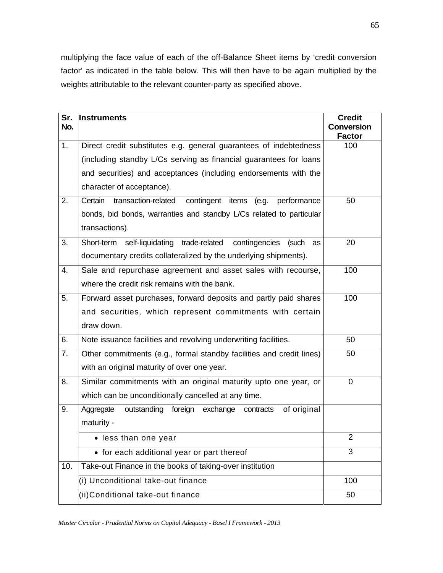multiplying the face value of each of the off-Balance Sheet items by 'credit conversion factor' as indicated in the table below. This will then have to be again multiplied by the weights attributable to the relevant counter-party as specified above.

| Sr.<br>No. | <b>Instruments</b>                                                         | <b>Credit</b><br><b>Conversion</b> |
|------------|----------------------------------------------------------------------------|------------------------------------|
|            |                                                                            | <b>Factor</b>                      |
| 1.         | Direct credit substitutes e.g. general guarantees of indebtedness          | 100                                |
|            | (including standby L/Cs serving as financial guarantees for loans          |                                    |
|            | and securities) and acceptances (including endorsements with the           |                                    |
|            | character of acceptance).                                                  |                                    |
| 2.         | Certain<br>transaction-related<br>contingent items<br>performance<br>(e.g. | 50                                 |
|            | bonds, bid bonds, warranties and standby L/Cs related to particular        |                                    |
|            | transactions).                                                             |                                    |
| 3.         | Short-term self-liquidating trade-related<br>contingencies<br>(such<br>as  | 20                                 |
|            | documentary credits collateralized by the underlying shipments).           |                                    |
| 4.         | Sale and repurchase agreement and asset sales with recourse,               | 100                                |
|            | where the credit risk remains with the bank.                               |                                    |
| 5.         | Forward asset purchases, forward deposits and partly paid shares           | 100                                |
|            | and securities, which represent commitments with certain                   |                                    |
|            | draw down.                                                                 |                                    |
| 6.         | Note issuance facilities and revolving underwriting facilities.            | 50                                 |
| 7.         | Other commitments (e.g., formal standby facilities and credit lines)       | 50                                 |
|            | with an original maturity of over one year.                                |                                    |
| 8.         | Similar commitments with an original maturity upto one year, or            | 0                                  |
|            | which can be unconditionally cancelled at any time.                        |                                    |
| 9.         | outstanding<br>of original<br>Aggregate<br>foreign exchange<br>contracts   |                                    |
|            | maturity -                                                                 |                                    |
|            | • less than one year                                                       | 2                                  |
|            | • for each additional year or part thereof                                 | 3                                  |
| 10.        | Take-out Finance in the books of taking-over institution                   |                                    |
|            | (i) Unconditional take-out finance                                         | 100                                |
|            | (ii)Conditional take-out finance                                           | 50                                 |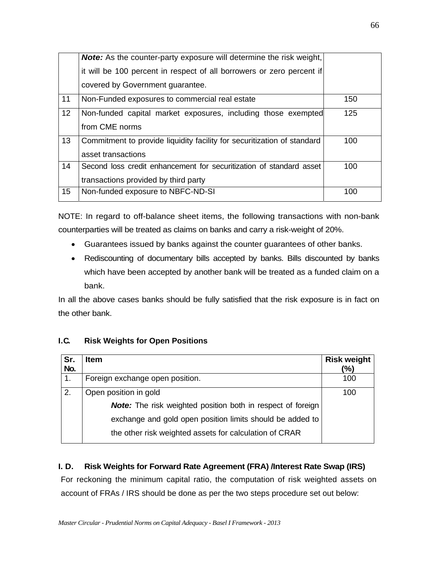|    | <b>Note:</b> As the counter-party exposure will determine the risk weight, |     |
|----|----------------------------------------------------------------------------|-----|
|    | it will be 100 percent in respect of all borrowers or zero percent if      |     |
|    | covered by Government guarantee.                                           |     |
| 11 | Non-Funded exposures to commercial real estate                             | 150 |
| 12 | Non-funded capital market exposures, including those exempted              | 125 |
|    | from CME norms                                                             |     |
| 13 | Commitment to provide liquidity facility for securitization of standard    | 100 |
|    | asset transactions                                                         |     |
| 14 | Second loss credit enhancement for securitization of standard asset        | 100 |
|    | transactions provided by third party                                       |     |
| 15 | Non-funded exposure to NBFC-ND-SI                                          | 100 |

NOTE: In regard to off-balance sheet items, the following transactions with non-bank counterparties will be treated as claims on banks and carry a risk-weight of 20%.

- Guarantees issued by banks against the counter guarantees of other banks.
- Rediscounting of documentary bills accepted by banks. Bills discounted by banks which have been accepted by another bank will be treated as a funded claim on a bank.

In all the above cases banks should be fully satisfied that the risk exposure is in fact on the other bank.

### **I.C.** Risk Weights for Open Positions

| Sr. | <b>Item</b>                                                        | <b>Risk weight</b> |
|-----|--------------------------------------------------------------------|--------------------|
| No. |                                                                    | (%)                |
|     | Foreign exchange open position.                                    | 100                |
| 2.  | Open position in gold                                              | 100                |
|     | <b>Note:</b> The risk weighted position both in respect of foreign |                    |
|     | exchange and gold open position limits should be added to          |                    |
|     | the other risk weighted assets for calculation of CRAR             |                    |

### **I. D. Risk Weights for Forward Rate Agreement (FRA) /Interest Rate Swap (IRS)**

For reckoning the minimum capital ratio, the computation of risk weighted assets on account of FRAs / IRS should be done as per the two steps procedure set out below: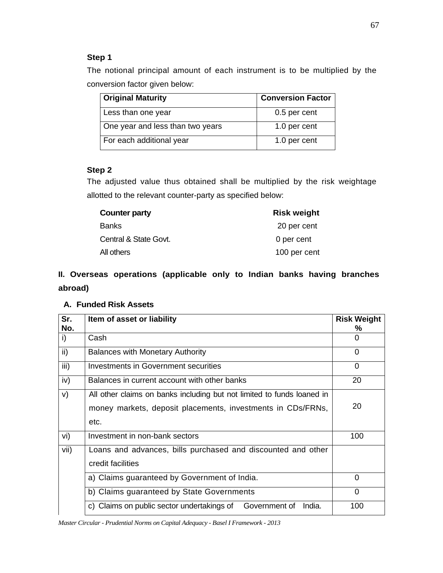### **Step 1**

The notional principal amount of each instrument is to be multiplied by the conversion factor given below:

| <b>Original Maturity</b>         | <b>Conversion Factor</b> |
|----------------------------------|--------------------------|
| Less than one year               | 0.5 per cent             |
| One year and less than two years | 1.0 per cent             |
| For each additional year         | 1.0 per cent             |

## **Step 2**

The adjusted value thus obtained shall be multiplied by the risk weightage allotted to the relevant counter-party as specified below:

| <b>Counter party</b>  | <b>Risk weight</b> |
|-----------------------|--------------------|
| Banks                 | 20 per cent        |
| Central & State Govt. | 0 per cent         |
| All others            | 100 per cent       |

## **II. Overseas operations (applicable only to Indian banks having branches abroad)**

### **A. Funded Risk Assets**

| Sr.<br>No. | Item of asset or liability                                                                                                                    | <b>Risk Weight</b><br>℅ |
|------------|-----------------------------------------------------------------------------------------------------------------------------------------------|-------------------------|
| i)         | Cash                                                                                                                                          | 0                       |
| ii)        | <b>Balances with Monetary Authority</b>                                                                                                       | 0                       |
| iii)       | Investments in Government securities                                                                                                          | 0                       |
| iv)        | Balances in current account with other banks                                                                                                  | 20                      |
| V)         | All other claims on banks including but not limited to funds loaned in<br>money markets, deposit placements, investments in CDs/FRNs,<br>etc. | 20                      |
| vi)        | Investment in non-bank sectors                                                                                                                | 100                     |
| vii)       | Loans and advances, bills purchased and discounted and other<br>credit facilities                                                             |                         |
|            | a) Claims guaranteed by Government of India.                                                                                                  | 0                       |
|            | b) Claims guaranteed by State Governments                                                                                                     | $\Omega$                |
|            | c) Claims on public sector undertakings of<br>Government of<br>India.                                                                         | 100                     |

*Master Circular - Prudential Norms on Capital Adequacy - Basel I Framework - 2013*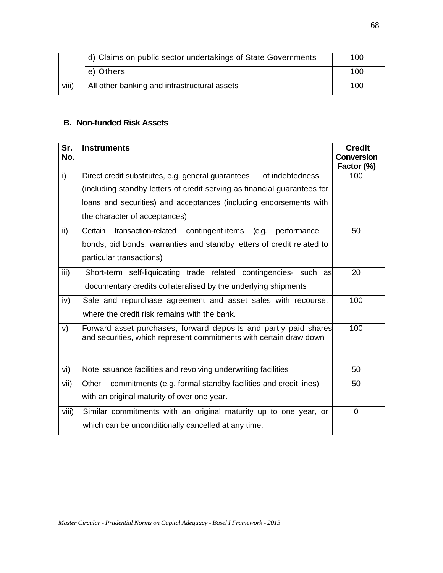|       | d) Claims on public sector undertakings of State Governments | 100 |
|-------|--------------------------------------------------------------|-----|
|       | e) Others                                                    | 100 |
| viii) | All other banking and infrastructural assets                 | 100 |

### **B. Non-funded Risk Assets**

| Sr.<br>No.      | <b>Instruments</b>                                                                                                                     | <b>Credit</b><br><b>Conversion</b><br>Factor (%) |
|-----------------|----------------------------------------------------------------------------------------------------------------------------------------|--------------------------------------------------|
| $\overline{1}$  | Direct credit substitutes, e.g. general guarantees<br>of indebtedness                                                                  | 100                                              |
|                 | (including standby letters of credit serving as financial guarantees for                                                               |                                                  |
|                 | loans and securities) and acceptances (including endorsements with                                                                     |                                                  |
|                 | the character of acceptances)                                                                                                          |                                                  |
| $\overline{ii}$ | Certain<br>transaction-related<br>contingent items<br>(e.g.<br>performance                                                             | 50                                               |
|                 | bonds, bid bonds, warranties and standby letters of credit related to                                                                  |                                                  |
|                 | particular transactions)                                                                                                               |                                                  |
| iii)            | Short-term self-liquidating trade related contingencies- such as                                                                       | 20                                               |
|                 | documentary credits collateralised by the underlying shipments                                                                         |                                                  |
| iv)             | Sale and repurchase agreement and asset sales with recourse,                                                                           | 100                                              |
|                 | where the credit risk remains with the bank.                                                                                           |                                                  |
| V)              | Forward asset purchases, forward deposits and partly paid shares<br>and securities, which represent commitments with certain draw down | 100                                              |
| vi)             | Note issuance facilities and revolving underwriting facilities                                                                         | 50                                               |
| vii)            | commitments (e.g. formal standby facilities and credit lines)<br>Other                                                                 | 50                                               |
|                 | with an original maturity of over one year.                                                                                            |                                                  |
| viii)           | Similar commitments with an original maturity up to one year, or                                                                       | 0                                                |
|                 | which can be unconditionally cancelled at any time.                                                                                    |                                                  |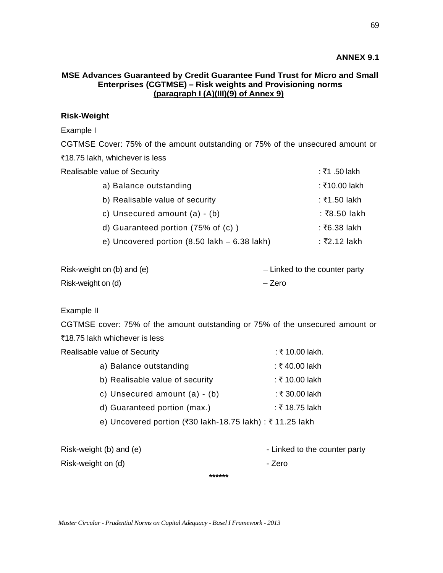### **ANNEX 9.1**

### **MSE Advances Guaranteed by Credit Guarantee Fund Trust for Micro and Small Enterprises (CGTMSE) – Risk weights and Provisioning norms (paragraph I (A)(III)(9) of Annex 9)**

### **Risk-Weight**

#### Example I

CGTMSE Cover: 75% of the amount outstanding or 75% of the unsecured amount or ₹18.75 lakh, whichever is less

| Realisable value of Security                                   | : ₹1 .50 lakh |  |
|----------------------------------------------------------------|---------------|--|
| a) Balance outstanding                                         | : ₹10.00 lakh |  |
| b) Realisable value of security                                | : ₹1.50 lakh  |  |
| c) Unsecured amount $(a) - (b)$                                | : ₹8.50 lakh  |  |
| d) Guaranteed portion $(75\% \text{ of } (c))$                 | ∶ ₹6.38 lakh  |  |
| e) Uncovered portion $(8.50 \text{ lakh} - 6.38 \text{ lakh})$ | : ₹2.12 lakh  |  |
|                                                                |               |  |

| Risk-weight on (b) and (e) | - Linked to the counter party |
|----------------------------|-------------------------------|
| Risk-weight on (d)         | – Zero                        |

Example II

CGTMSE cover: 75% of the amount outstanding or 75% of the unsecured amount or ₹18.75 lakh whichever is less

| Realisable value of Security                             | : ₹ 10.00 lakh. |
|----------------------------------------------------------|-----------------|
| a) Balance outstanding                                   | ∶ ₹ 40.00 lakh  |
| b) Realisable value of security                          | : ₹ 10.00 lakh  |
| c) Unsecured amount (a) - (b)                            | : ₹30.00 lakh   |
| d) Guaranteed portion (max.)                             | ∶ ₹ 18.75 lakh  |
| e) Uncovered portion (₹30 lakh-18.75 lakh) : ₹11.25 lakh |                 |
|                                                          |                 |
|                                                          |                 |

Risk-weight (b) and (e)  $\qquad \qquad$  - Linked to the counter party Risk-weight on (d) and the state of the state of the Sero state of the Sero state of the Zero **\*\*\*\*\*\*** 

*Master Circular - Prudential Norms on Capital Adequacy - Basel I Framework - 2013*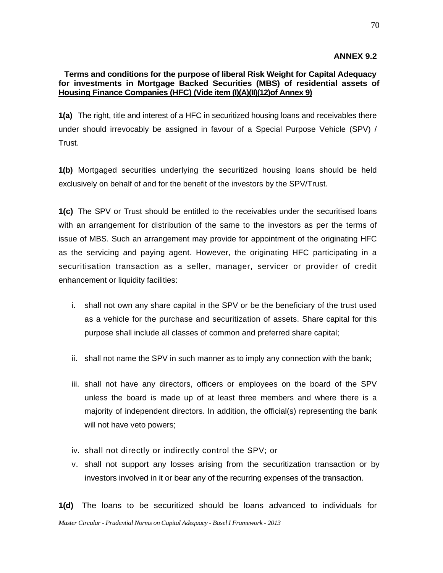### **ANNEX 9.2**

### **Terms and conditions for the purpose of liberal Risk Weight for Capital Adequacy for investments in Mortgage Backed Securities (MBS) of residential assets of Housing Finance Companies (HFC) (Vide item (I)(A)(II)(12)of Annex 9)**

**1(a)** The right, title and interest of a HFC in securitized housing loans and receivables there under should irrevocably be assigned in favour of a Special Purpose Vehicle (SPV) / Trust.

**1(b)** Mortgaged securities underlying the securitized housing loans should be held exclusively on behalf of and for the benefit of the investors by the SPV/Trust.

**1(c)** The SPV or Trust should be entitled to the receivables under the securitised loans with an arrangement for distribution of the same to the investors as per the terms of issue of MBS. Such an arrangement may provide for appointment of the originating HFC as the servicing and paying agent. However, the originating HFC participating in a securitisation transaction as a seller, manager, servicer or provider of credit enhancement or liquidity facilities:

- i. shall not own any share capital in the SPV or be the beneficiary of the trust used as a vehicle for the purchase and securitization of assets. Share capital for this purpose shall include all classes of common and preferred share capital;
- ii. shall not name the SPV in such manner as to imply any connection with the bank;
- iii. shall not have any directors, officers or employees on the board of the SPV unless the board is made up of at least three members and where there is a majority of independent directors. In addition, the official(s) representing the bank will not have veto powers;
- iv. shall not directly or indirectly control the SPV; or
- v. shall not support any losses arising from the securitization transaction or by investors involved in it or bear any of the recurring expenses of the transaction.

*Master Circular - Prudential Norms on Capital Adequacy - Basel I Framework - 2013* **1(d)** The loans to be securitized should be loans advanced to individuals for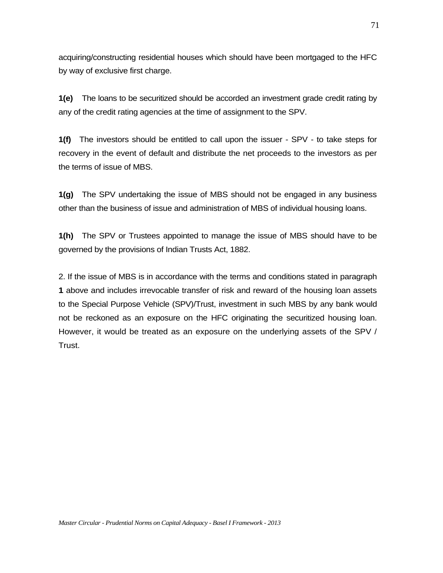acquiring/constructing residential houses which should have been mortgaged to the HFC by way of exclusive first charge.

**1(e)** The loans to be securitized should be accorded an investment grade credit rating by any of the credit rating agencies at the time of assignment to the SPV.

**1(f)** The investors should be entitled to call upon the issuer - SPV - to take steps for recovery in the event of default and distribute the net proceeds to the investors as per the terms of issue of MBS.

**1(g)** The SPV undertaking the issue of MBS should not be engaged in any business other than the business of issue and administration of MBS of individual housing loans.

**1(h)** The SPV or Trustees appointed to manage the issue of MBS should have to be governed by the provisions of Indian Trusts Act, 1882.

2. If the issue of MBS is in accordance with the terms and conditions stated in paragraph **1** above and includes irrevocable transfer of risk and reward of the housing loan assets to the Special Purpose Vehicle (SPV)/Trust, investment in such MBS by any bank would not be reckoned as an exposure on the HFC originating the securitized housing loan. However, it would be treated as an exposure on the underlying assets of the SPV / Trust.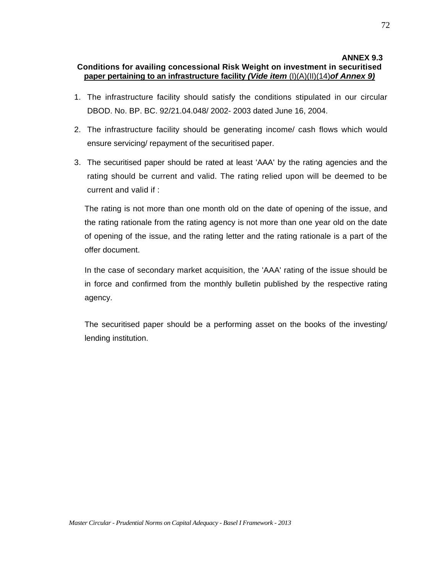### **ANNEX 9.3 Conditions for availing concessional Risk Weight on investment in securitised paper pertaining to an infrastructure facility** *(Vide item* (I)(A)(II)(14)*of Annex 9)*

- 1. The infrastructure facility should satisfy the conditions stipulated in our circular DBOD. No. BP. BC. 92/21.04.048/ 2002- 2003 dated June 16, 2004.
- 2. The infrastructure facility should be generating income/ cash flows which would ensure servicing/ repayment of the securitised paper.
- 3. The securitised paper should be rated at least 'AAA' by the rating agencies and the rating should be current and valid. The rating relied upon will be deemed to be current and valid if :

The rating is not more than one month old on the date of opening of the issue, and the rating rationale from the rating agency is not more than one year old on the date of opening of the issue, and the rating letter and the rating rationale is a part of the offer document.

In the case of secondary market acquisition, the 'AAA' rating of the issue should be in force and confirmed from the monthly bulletin published by the respective rating agency.

The securitised paper should be a performing asset on the books of the investing/ lending institution.